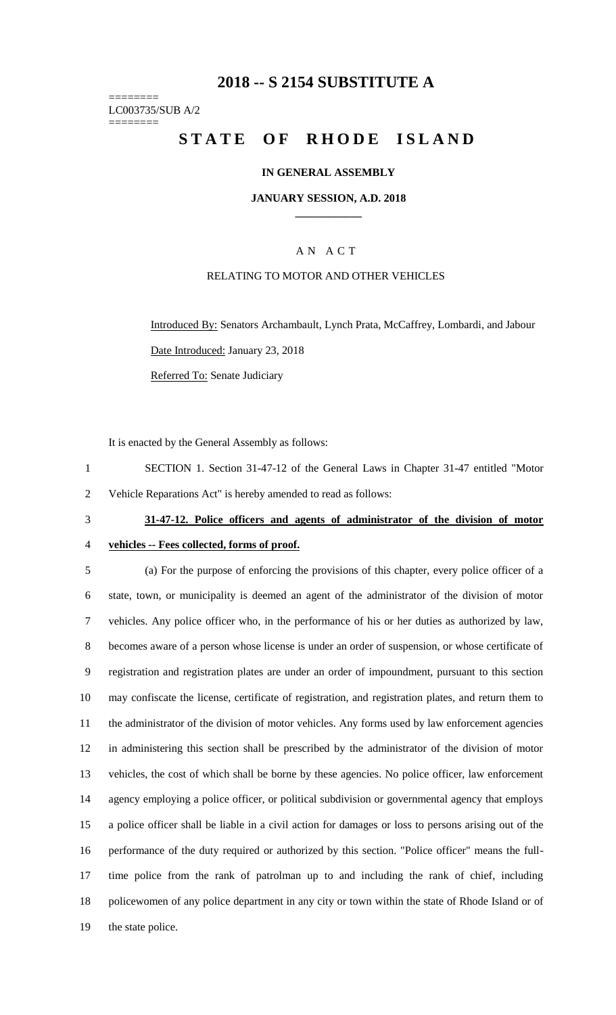## **-- S 2154 SUBSTITUTE A**

======== LC003735/SUB A/2 ========

# STATE OF RHODE ISLAND

### **IN GENERAL ASSEMBLY**

### **JANUARY SESSION, A.D. 2018 \_\_\_\_\_\_\_\_\_\_\_\_**

## A N A C T

### RELATING TO MOTOR AND OTHER VEHICLES

Introduced By: Senators Archambault, Lynch Prata, McCaffrey, Lombardi, and Jabour Date Introduced: January 23, 2018 Referred To: Senate Judiciary

It is enacted by the General Assembly as follows:

- SECTION 1. Section 31-47-12 of the General Laws in Chapter 31-47 entitled "Motor Vehicle Reparations Act" is hereby amended to read as follows:
- 

# **31-47-12. Police officers and agents of administrator of the division of motor**

**vehicles -- Fees collected, forms of proof.**

 (a) For the purpose of enforcing the provisions of this chapter, every police officer of a state, town, or municipality is deemed an agent of the administrator of the division of motor vehicles. Any police officer who, in the performance of his or her duties as authorized by law, becomes aware of a person whose license is under an order of suspension, or whose certificate of registration and registration plates are under an order of impoundment, pursuant to this section may confiscate the license, certificate of registration, and registration plates, and return them to the administrator of the division of motor vehicles. Any forms used by law enforcement agencies in administering this section shall be prescribed by the administrator of the division of motor vehicles, the cost of which shall be borne by these agencies. No police officer, law enforcement agency employing a police officer, or political subdivision or governmental agency that employs a police officer shall be liable in a civil action for damages or loss to persons arising out of the performance of the duty required or authorized by this section. "Police officer" means the full- time police from the rank of patrolman up to and including the rank of chief, including policewomen of any police department in any city or town within the state of Rhode Island or of the state police.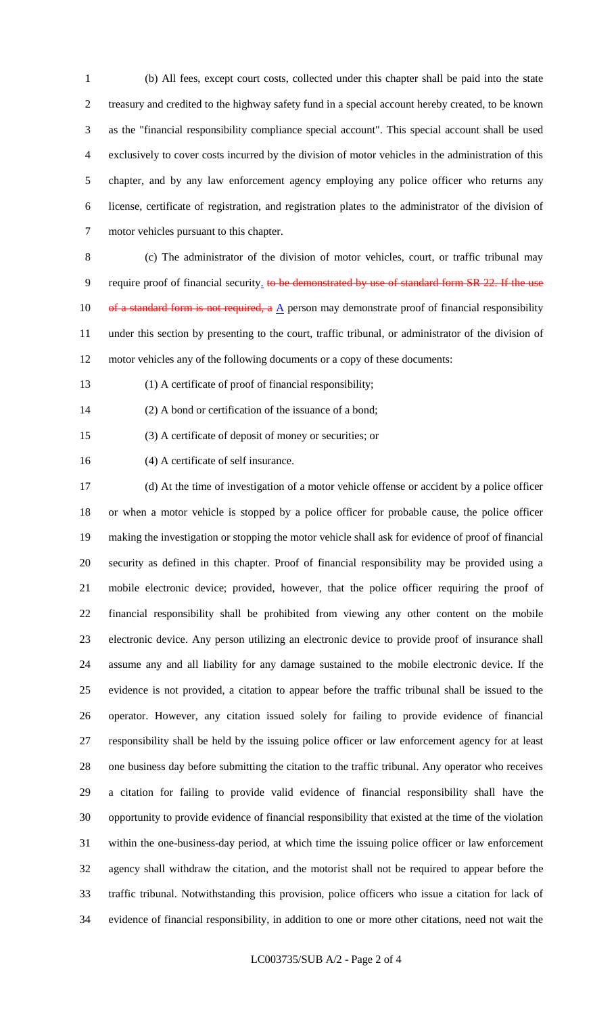(b) All fees, except court costs, collected under this chapter shall be paid into the state treasury and credited to the highway safety fund in a special account hereby created, to be known as the "financial responsibility compliance special account". This special account shall be used exclusively to cover costs incurred by the division of motor vehicles in the administration of this chapter, and by any law enforcement agency employing any police officer who returns any license, certificate of registration, and registration plates to the administrator of the division of motor vehicles pursuant to this chapter.

 (c) The administrator of the division of motor vehicles, court, or traffic tribunal may 9 require proof of financial security. to be demonstrated by use of standard form SR 22. If the use 10 of a standard form is not required, a  $\underline{A}$  person may demonstrate proof of financial responsibility under this section by presenting to the court, traffic tribunal, or administrator of the division of motor vehicles any of the following documents or a copy of these documents:

(1) A certificate of proof of financial responsibility;

(2) A bond or certification of the issuance of a bond;

(3) A certificate of deposit of money or securities; or

(4) A certificate of self insurance.

 (d) At the time of investigation of a motor vehicle offense or accident by a police officer or when a motor vehicle is stopped by a police officer for probable cause, the police officer making the investigation or stopping the motor vehicle shall ask for evidence of proof of financial security as defined in this chapter. Proof of financial responsibility may be provided using a mobile electronic device; provided, however, that the police officer requiring the proof of financial responsibility shall be prohibited from viewing any other content on the mobile electronic device. Any person utilizing an electronic device to provide proof of insurance shall assume any and all liability for any damage sustained to the mobile electronic device. If the evidence is not provided, a citation to appear before the traffic tribunal shall be issued to the operator. However, any citation issued solely for failing to provide evidence of financial responsibility shall be held by the issuing police officer or law enforcement agency for at least one business day before submitting the citation to the traffic tribunal. Any operator who receives a citation for failing to provide valid evidence of financial responsibility shall have the opportunity to provide evidence of financial responsibility that existed at the time of the violation within the one-business-day period, at which time the issuing police officer or law enforcement agency shall withdraw the citation, and the motorist shall not be required to appear before the traffic tribunal. Notwithstanding this provision, police officers who issue a citation for lack of evidence of financial responsibility, in addition to one or more other citations, need not wait the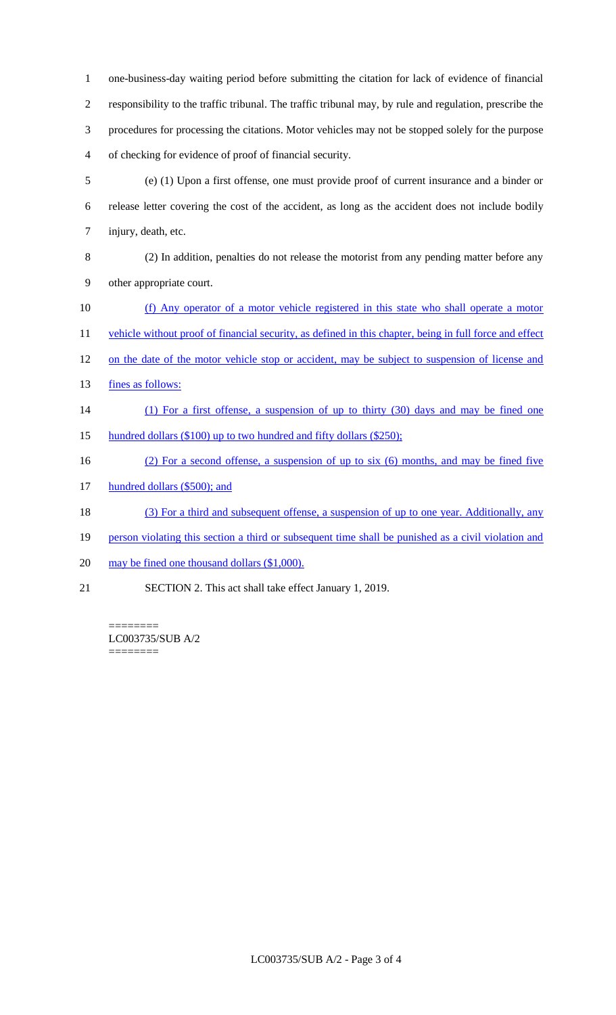one-business-day waiting period before submitting the citation for lack of evidence of financial responsibility to the traffic tribunal. The traffic tribunal may, by rule and regulation, prescribe the procedures for processing the citations. Motor vehicles may not be stopped solely for the purpose of checking for evidence of proof of financial security.

- 5 (e) (1) Upon a first offense, one must provide proof of current insurance and a binder or 6 release letter covering the cost of the accident, as long as the accident does not include bodily 7 injury, death, etc.
- 8 (2) In addition, penalties do not release the motorist from any pending matter before any 9 other appropriate court.
- 10 (f) Any operator of a motor vehicle registered in this state who shall operate a motor

11 vehicle without proof of financial security, as defined in this chapter, being in full force and effect

- 12 on the date of the motor vehicle stop or accident, may be subject to suspension of license and
- 13 fines as follows:
- 14 (1) For a first offense, a suspension of up to thirty (30) days and may be fined one
- 15 hundred dollars (\$100) up to two hundred and fifty dollars (\$250);
- 16 (2) For a second offense, a suspension of up to six (6) months, and may be fined five
- 17 hundred dollars (\$500); and
- 18 (3) For a third and subsequent offense, a suspension of up to one year. Additionally, any
- 19 person violating this section a third or subsequent time shall be punished as a civil violation and
- 20 may be fined one thousand dollars (\$1,000).
- 21 SECTION 2. This act shall take effect January 1, 2019.

======== LC003735/SUB A/2 ========